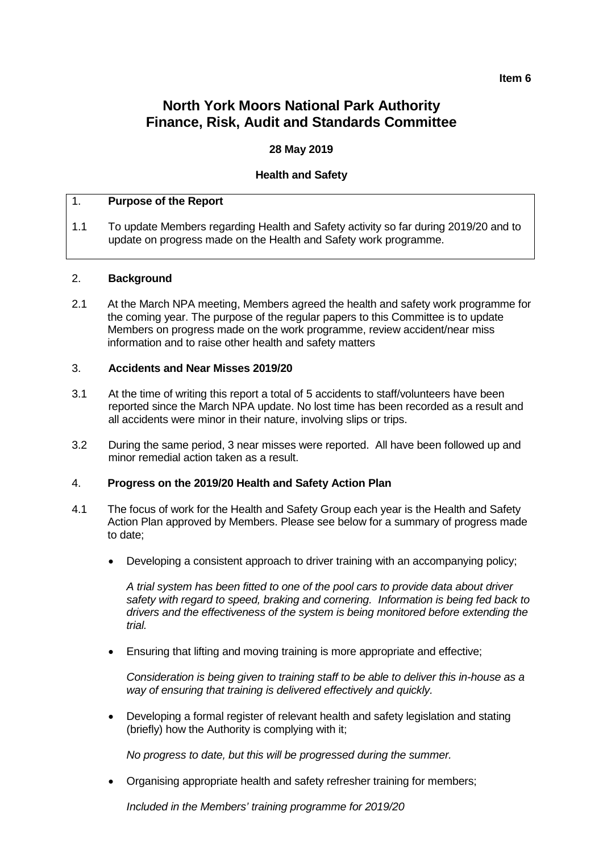#### **Item 6**

# **North York Moors National Park Authority Finance, Risk, Audit and Standards Committee**

## **28 May 2019**

## **Health and Safety**

### 1. **Purpose of the Report**

1.1 To update Members regarding Health and Safety activity so far during 2019/20 and to update on progress made on the Health and Safety work programme.

#### 2. **Background**

2.1 At the March NPA meeting, Members agreed the health and safety work programme for the coming year. The purpose of the regular papers to this Committee is to update Members on progress made on the work programme, review accident/near miss information and to raise other health and safety matters

#### 3. **Accidents and Near Misses 2019/20**

- 3.1 At the time of writing this report a total of 5 accidents to staff/volunteers have been reported since the March NPA update. No lost time has been recorded as a result and all accidents were minor in their nature, involving slips or trips.
- 3.2 During the same period, 3 near misses were reported. All have been followed up and minor remedial action taken as a result.

### 4. **Progress on the 2019/20 Health and Safety Action Plan**

- 4.1 The focus of work for the Health and Safety Group each year is the Health and Safety Action Plan approved by Members. Please see below for a summary of progress made to date;
	- Developing a consistent approach to driver training with an accompanying policy;

*A trial system has been fitted to one of the pool cars to provide data about driver safety with regard to speed, braking and cornering. Information is being fed back to drivers and the effectiveness of the system is being monitored before extending the trial.*

• Ensuring that lifting and moving training is more appropriate and effective;

*Consideration is being given to training staff to be able to deliver this in-house as a way of ensuring that training is delivered effectively and quickly.* 

• Developing a formal register of relevant health and safety legislation and stating (briefly) how the Authority is complying with it;

*No progress to date, but this will be progressed during the summer.*

• Organising appropriate health and safety refresher training for members;

*Included in the Members' training programme for 2019/20*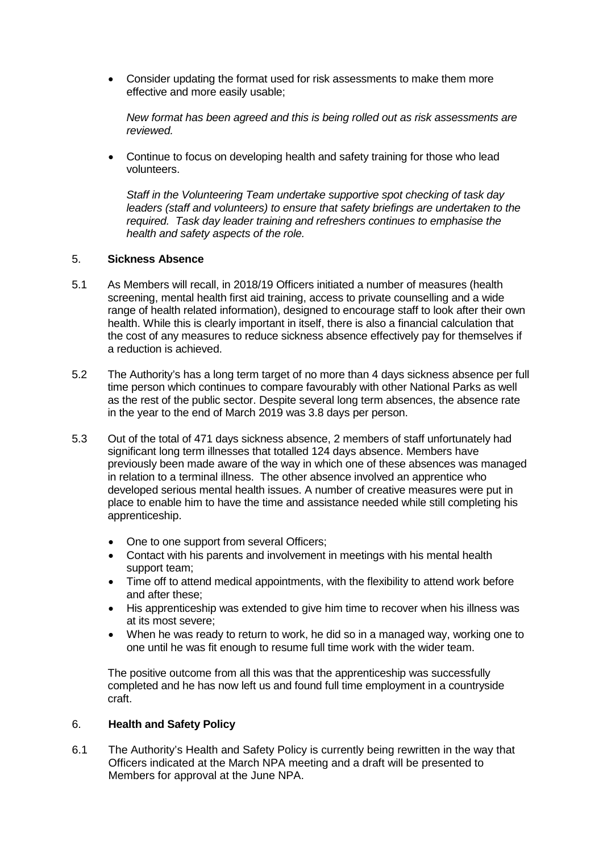• Consider updating the format used for risk assessments to make them more effective and more easily usable;

*New format has been agreed and this is being rolled out as risk assessments are reviewed.*

• Continue to focus on developing health and safety training for those who lead volunteers.

*Staff in the Volunteering Team undertake supportive spot checking of task day leaders (staff and volunteers) to ensure that safety briefings are undertaken to the required. Task day leader training and refreshers continues to emphasise the health and safety aspects of the role.*

## 5. **Sickness Absence**

- 5.1 As Members will recall, in 2018/19 Officers initiated a number of measures (health screening, mental health first aid training, access to private counselling and a wide range of health related information), designed to encourage staff to look after their own health. While this is clearly important in itself, there is also a financial calculation that the cost of any measures to reduce sickness absence effectively pay for themselves if a reduction is achieved.
- 5.2 The Authority's has a long term target of no more than 4 days sickness absence per full time person which continues to compare favourably with other National Parks as well as the rest of the public sector. Despite several long term absences, the absence rate in the year to the end of March 2019 was 3.8 days per person.
- 5.3 Out of the total of 471 days sickness absence, 2 members of staff unfortunately had significant long term illnesses that totalled 124 days absence. Members have previously been made aware of the way in which one of these absences was managed in relation to a terminal illness. The other absence involved an apprentice who developed serious mental health issues. A number of creative measures were put in place to enable him to have the time and assistance needed while still completing his apprenticeship.
	- One to one support from several Officers:
	- Contact with his parents and involvement in meetings with his mental health support team;
	- Time off to attend medical appointments, with the flexibility to attend work before and after these;
	- His apprenticeship was extended to give him time to recover when his illness was at its most severe;
	- When he was ready to return to work, he did so in a managed way, working one to one until he was fit enough to resume full time work with the wider team.

The positive outcome from all this was that the apprenticeship was successfully completed and he has now left us and found full time employment in a countryside craft.

## 6. **Health and Safety Policy**

6.1 The Authority's Health and Safety Policy is currently being rewritten in the way that Officers indicated at the March NPA meeting and a draft will be presented to Members for approval at the June NPA.